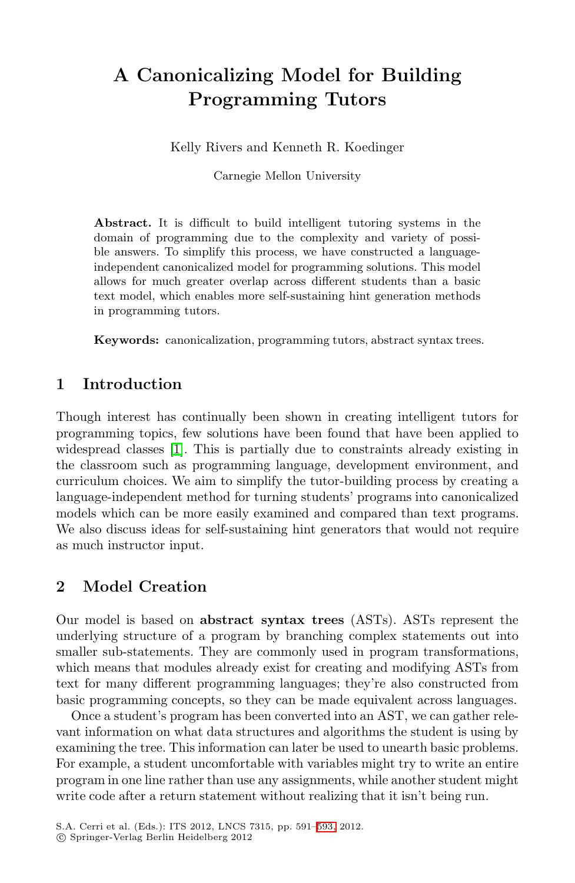# **A Canonicalizing Model for Building Programming Tutors**

Kelly Rivers and Kenneth R. Koedinger

Carnegie Mellon University

**Abstract.** It is difficult to build intelligent tutoring systems in the domain of programming due to the complexity and variety of possible answers. To simplify this process, we have constructed a languageindependent canonicalized model for programming solutions. This model allows for much greater overlap across different students than a basic text model, which enables more self-sustaining hint generation methods in programming tutors.

**Keywords:** canonicalization, programming tutors, abstract syntax trees.

## **1 Introduction**

Though interest has continually been shown in creating intelligent tutors for programming topics, few solutions have been found that have been applied to widespread classes [\[1\]](#page-2-0). This is partially due to constraints already existing in the classroom such as programming language, development environment, and curriculum choices. We aim to simplify the tutor-building process by creating a language-independent method for turning students' programs into canonicalized models which can be more easily examined and compared than text programs. We also discuss ideas for self-sustaining hint generators that would not require as much instructor input.

## **2 Model Creation**

Our model is based on **abstract syntax trees** (ASTs). ASTs represent the underlying structure of a program by branching complex statements out into smaller sub-statements. They are commonly used in program transformations, which means that modules already exist for creating and modifying ASTs from text for many different programming languages; they're also constructed from basic programming concepts, so they can be made equivalent across languages.

Once a student's program has been converted into an AST, we can gather relevant information on what data structures and algorithms the student is using by examining the tree. This information can later be used to unearth basic problems. For example, a student uncomfortable with variables might try to write an entire program in one line rather than use any assignments, while another student might write code after a return statement without realizing that it isn't being run.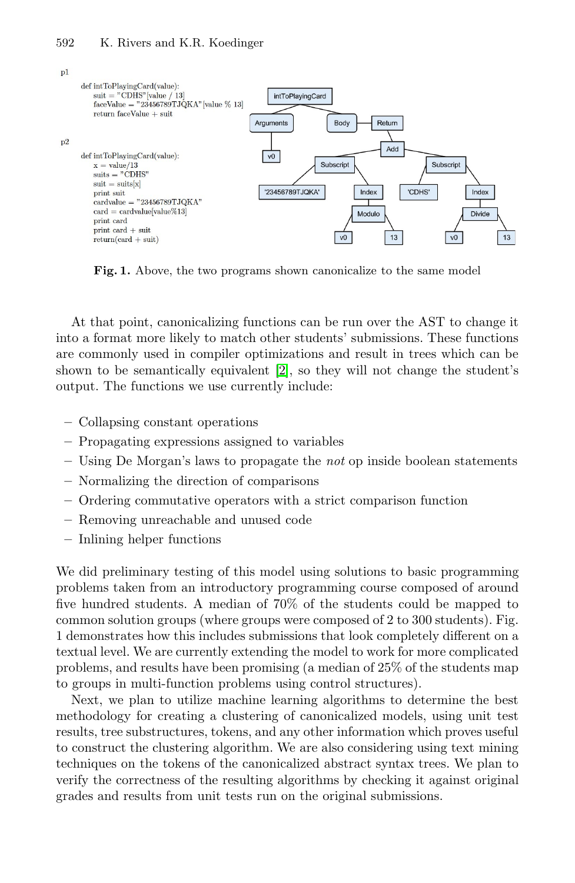

**Fig. 1.** Above, the two programs shown canonicalize to the same model

At that point, canonicalizing functions can be run over the AST to change it into a format more likely to match other students' submissions. These functions are commonly used in compiler optimizations and result in trees which can be shown to be semantically equivalent [\[2\]](#page-2-2), so they will not change the student's output. The functions we use currently include:

- **–** Collapsing constant operations
- **–** Propagating expressions assigned to variables
- **–** Using De Morgan's laws to propagate the *not* op inside boolean statements
- **–** Normalizing the direction of comparisons
- **–** Ordering commutative operators with a strict comparison function
- **–** Removing unreachable and unused code
- **–** Inlining helper functions

We did preliminary testing of this model using solutions to basic programming problems taken from an introductory programming course composed of around five hundred students. A median of 70% of the students could be mapped to common solution groups (where groups were composed of 2 to 300 students). Fig. 1 demonstrates how this includes submissions that look completely different on a textual level. We are currently extending the model to work for more complicated problems, and results have been promising (a median of 25% of the students map to groups in multi-function problems using control structures).

Next, we plan to utilize machine learning algorithms to determine the best methodology for creating a clustering of canonicalized models, using unit test results, tree substructures, tokens, and any other information which proves useful to construct the clustering algorithm. We are also considering using text mining techniques on the tokens of the canonicalized abstract syntax trees. We plan to verify the correctness of the resulting algorithms by checking it against original grades and results from unit tests run on the original submissions.